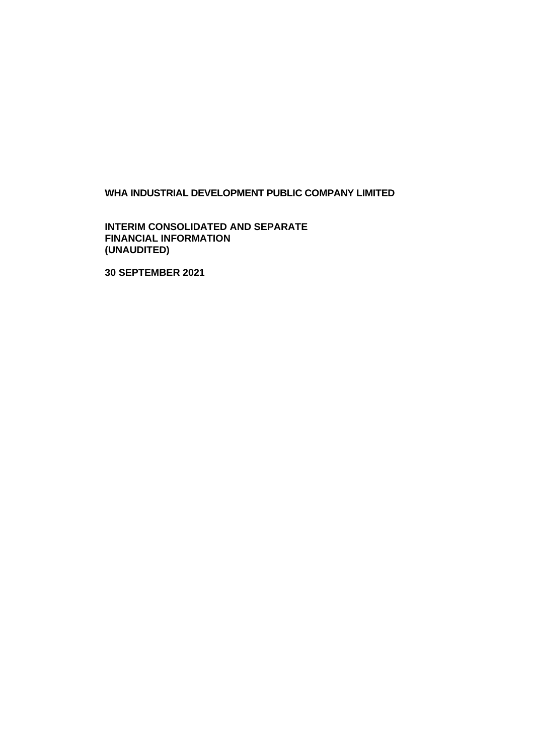## **WHA INDUSTRIAL DEVELOPMENT PUBLIC COMPANY LIMITED**

**INTERIM CONSOLIDATED AND SEPARATE FINANCIAL INFORMATION (UNAUDITED)**

**30 SEPTEMBER 2021**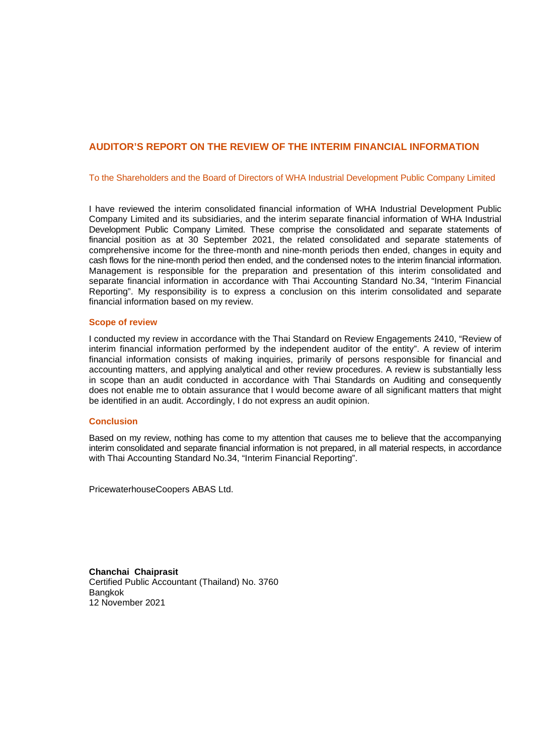# **AUDITOR'S REPORT ON THE REVIEW OF THE INTERIM FINANCIAL INFORMATION**

#### To the Shareholders and the Board of Directors of WHA Industrial Development Public Company Limited

I have reviewed the interim consolidated financial information of WHA Industrial Development Public Company Limited and its subsidiaries, and the interim separate financial information of WHA Industrial Development Public Company Limited. These comprise the consolidated and separate statements of financial position as at 30 September 2021, the related consolidated and separate statements of comprehensive income for the three-month and nine-month periods then ended, changes in equity and cash flows for the nine-month period then ended, and the condensed notes to the interim financial information. Management is responsible for the preparation and presentation of this interim consolidated and separate financial information in accordance with Thai Accounting Standard No.34, "Interim Financial Reporting". My responsibility is to express a conclusion on this interim consolidated and separate financial information based on my review.

#### **Scope of review**

I conducted my review in accordance with the Thai Standard on Review Engagements 2410, "Review of interim financial information performed by the independent auditor of the entity". A review of interim financial information consists of making inquiries, primarily of persons responsible for financial and accounting matters, and applying analytical and other review procedures. A review is substantially less in scope than an audit conducted in accordance with Thai Standards on Auditing and consequently does not enable me to obtain assurance that I would become aware of all significant matters that might be identified in an audit. Accordingly, I do not express an audit opinion.

#### **Conclusion**

Based on my review, nothing has come to my attention that causes me to believe that the accompanying interim consolidated and separate financial information is not prepared, in all material respects, in accordance with Thai Accounting Standard No.34, "Interim Financial Reporting".

PricewaterhouseCoopers ABAS Ltd.

**Chanchai Chaiprasit** Certified Public Accountant (Thailand) No. 3760 **Bangkok** 12 November 2021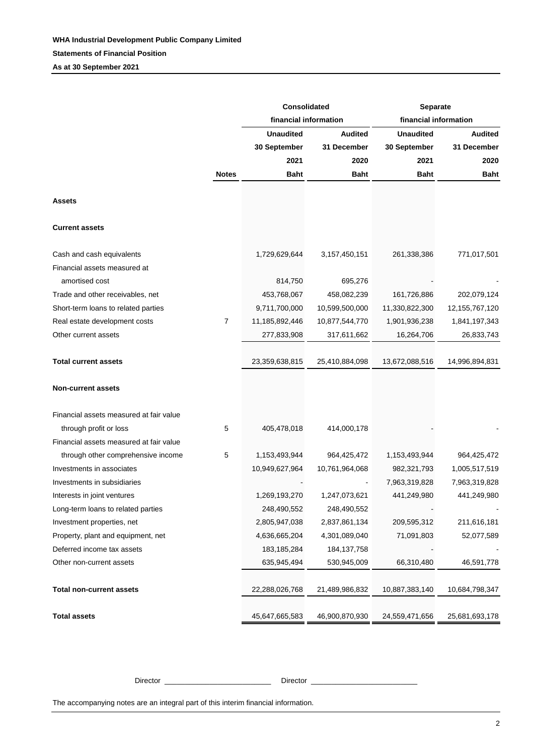|                                         |                | <b>Consolidated</b>   |                  | Separate              |                   |  |  |
|-----------------------------------------|----------------|-----------------------|------------------|-----------------------|-------------------|--|--|
|                                         |                | financial information |                  | financial information |                   |  |  |
|                                         |                | <b>Unaudited</b>      | <b>Audited</b>   | <b>Unaudited</b>      | <b>Audited</b>    |  |  |
|                                         |                | 30 September          | 31 December      | 30 September          | 31 December       |  |  |
|                                         |                | 2021                  | 2020             | 2021                  | 2020              |  |  |
|                                         | <b>Notes</b>   | <b>Baht</b>           | <b>Baht</b>      | <b>Baht</b>           | <b>Baht</b>       |  |  |
| Assets                                  |                |                       |                  |                       |                   |  |  |
| <b>Current assets</b>                   |                |                       |                  |                       |                   |  |  |
| Cash and cash equivalents               |                | 1,729,629,644         | 3, 157, 450, 151 | 261,338,386           | 771,017,501       |  |  |
| Financial assets measured at            |                |                       |                  |                       |                   |  |  |
| amortised cost                          |                | 814,750               | 695,276          |                       |                   |  |  |
| Trade and other receivables, net        |                | 453,768,067           | 458,082,239      | 161,726,886           | 202,079,124       |  |  |
| Short-term loans to related parties     |                | 9,711,700,000         | 10,599,500,000   | 11,330,822,300        | 12, 155, 767, 120 |  |  |
| Real estate development costs           | $\overline{7}$ | 11,185,892,446        | 10,877,544,770   | 1,901,936,238         | 1,841,197,343     |  |  |
| Other current assets                    |                | 277,833,908           | 317,611,662      | 16,264,706            | 26,833,743        |  |  |
| <b>Total current assets</b>             |                | 23,359,638,815        | 25,410,884,098   | 13,672,088,516        | 14,996,894,831    |  |  |
| <b>Non-current assets</b>               |                |                       |                  |                       |                   |  |  |
| Financial assets measured at fair value |                |                       |                  |                       |                   |  |  |
| through profit or loss                  | 5              | 405,478,018           | 414,000,178      |                       |                   |  |  |
| Financial assets measured at fair value |                |                       |                  |                       |                   |  |  |
| through other comprehensive income      | 5              | 1,153,493,944         | 964,425,472      | 1,153,493,944         | 964,425,472       |  |  |
| Investments in associates               |                | 10,949,627,964        | 10,761,964,068   | 982,321,793           | 1,005,517,519     |  |  |
| Investments in subsidiaries             |                |                       |                  | 7,963,319,828         | 7,963,319,828     |  |  |
| Interests in joint ventures             |                | 1,269,193,270         | 1,247,073,621    | 441,249,980           | 441,249,980       |  |  |
| Long-term loans to related parties      |                | 248,490,552           | 248,490,552      |                       |                   |  |  |
| Investment properties, net              |                | 2,805,947,038         | 2,837,861,134    | 209,595,312           | 211,616,181       |  |  |
| Property, plant and equipment, net      |                | 4,636,665,204         | 4,301,089,040    | 71,091,803            | 52,077,589        |  |  |
| Deferred income tax assets              |                | 183, 185, 284         | 184, 137, 758    |                       |                   |  |  |
| Other non-current assets                |                | 635,945,494           | 530,945,009      | 66,310,480            | 46,591,778        |  |  |
| <b>Total non-current assets</b>         |                | 22,288,026,768        | 21,489,986,832   | 10,887,383,140        | 10,684,798,347    |  |  |
| <b>Total assets</b>                     |                | 45,647,665,583        | 46,900,870,930   | 24,559,471,656        | 25,681,693,178    |  |  |
|                                         |                |                       |                  |                       |                   |  |  |

Director \_\_\_\_\_\_\_\_\_\_\_\_\_\_\_\_\_\_\_\_\_\_\_\_\_\_ Director \_\_\_\_\_\_\_\_\_\_\_\_\_\_\_\_\_\_\_\_\_\_\_\_\_\_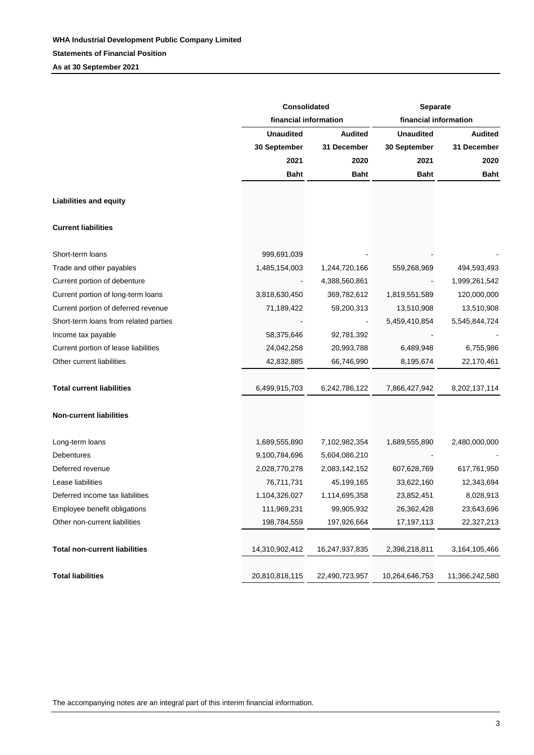|                                       | <b>Consolidated</b> |                       | Separate              |                |  |  |
|---------------------------------------|---------------------|-----------------------|-----------------------|----------------|--|--|
|                                       |                     | financial information | financial information |                |  |  |
|                                       | <b>Unaudited</b>    | <b>Audited</b>        | <b>Unaudited</b>      | <b>Audited</b> |  |  |
|                                       | 30 September        | 31 December           | 30 September          | 31 December    |  |  |
|                                       | 2021                | 2020                  | 2021                  | 2020           |  |  |
|                                       | <b>Baht</b>         | <b>Baht</b>           | <b>Baht</b>           | <b>Baht</b>    |  |  |
| <b>Liabilities and equity</b>         |                     |                       |                       |                |  |  |
|                                       |                     |                       |                       |                |  |  |
| <b>Current liabilities</b>            |                     |                       |                       |                |  |  |
| Short-term loans                      | 999,691,039         |                       |                       |                |  |  |
| Trade and other payables              | 1,485,154,003       | 1,244,720,166         | 559,268,969           | 494,593,493    |  |  |
| Current portion of debenture          |                     | 4,388,560,861         |                       | 1,999,261,542  |  |  |
| Current portion of long-term loans    | 3,818,630,450       | 369,782,612           | 1,819,551,589         | 120,000,000    |  |  |
| Current portion of deferred revenue   | 71,189,422          | 59,200,313            | 13,510,908            | 13,510,908     |  |  |
| Short-term loans from related parties |                     |                       | 5,459,410,854         | 5,545,844,724  |  |  |
| Income tax payable                    | 58,375,646          | 92,781,392            |                       |                |  |  |
| Current portion of lease liabilities  | 24,042,258          | 20,993,788            | 6,489,948             | 6,755,986      |  |  |
| Other current liabilities             | 42,832,885          | 66,746,990            | 8,195,674             | 22,170,461     |  |  |
| <b>Total current liabilities</b>      | 6,499,915,703       | 6,242,786,122         | 7,866,427,942         | 8,202,137,114  |  |  |
| <b>Non-current liabilities</b>        |                     |                       |                       |                |  |  |
| Long-term loans                       | 1,689,555,890       | 7,102,982,354         | 1,689,555,890         | 2,480,000,000  |  |  |
| Debentures                            | 9,100,784,696       | 5,604,086,210         |                       |                |  |  |
| Deferred revenue                      | 2,028,770,278       | 2,083,142,152         | 607,628,769           | 617,761,950    |  |  |
| Lease liabilities                     | 76,711,731          | 45,199,165            | 33,622,160            | 12,343,694     |  |  |
| Deferred income tax liabilities       | 1,104,326,027       | 1,114,695,358         | 23,852,451            | 8,028,913      |  |  |
| Employee benefit obligations          | 111,969,231         | 99,905,932            | 26,362,428            | 23,643,696     |  |  |
| Other non-current liabilities         | 198,784,559         | 197,926,664           | 17,197,113            | 22,327,213     |  |  |
| <b>Total non-current liabilities</b>  | 14,310,902,412      | 16,247,937,835        | 2,398,218,811         | 3,164,105,466  |  |  |
| <b>Total liabilities</b>              | 20,810,818,115      | 22,490,723,957        | 10,264,646,753        | 11,366,242,580 |  |  |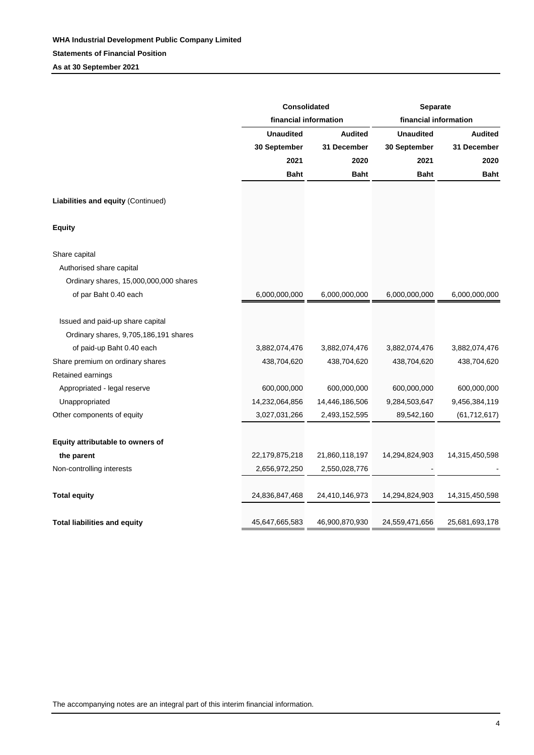|                                        | Consolidated          |                | Separate              |                |  |  |
|----------------------------------------|-----------------------|----------------|-----------------------|----------------|--|--|
|                                        | financial information |                | financial information |                |  |  |
|                                        | <b>Unaudited</b>      | <b>Audited</b> | <b>Unaudited</b>      | <b>Audited</b> |  |  |
|                                        | 30 September          | 31 December    | 30 September          | 31 December    |  |  |
|                                        | 2021                  | 2020           | 2021                  | 2020           |  |  |
|                                        | <b>Baht</b>           | <b>Baht</b>    | <b>Baht</b>           | <b>Baht</b>    |  |  |
| Liabilities and equity (Continued)     |                       |                |                       |                |  |  |
| <b>Equity</b>                          |                       |                |                       |                |  |  |
| Share capital                          |                       |                |                       |                |  |  |
| Authorised share capital               |                       |                |                       |                |  |  |
| Ordinary shares, 15,000,000,000 shares |                       |                |                       |                |  |  |
| of par Baht 0.40 each                  | 6,000,000,000         | 6,000,000,000  | 6,000,000,000         | 6,000,000,000  |  |  |
| Issued and paid-up share capital       |                       |                |                       |                |  |  |
| Ordinary shares, 9,705,186,191 shares  |                       |                |                       |                |  |  |
| of paid-up Baht 0.40 each              | 3,882,074,476         | 3,882,074,476  | 3,882,074,476         | 3,882,074,476  |  |  |
| Share premium on ordinary shares       | 438,704,620           | 438,704,620    | 438,704,620           | 438,704,620    |  |  |
| Retained earnings                      |                       |                |                       |                |  |  |
| Appropriated - legal reserve           | 600,000,000           | 600,000,000    | 600,000,000           | 600,000,000    |  |  |
| Unappropriated                         | 14,232,064,856        | 14,446,186,506 | 9,284,503,647         | 9,456,384,119  |  |  |
| Other components of equity             | 3,027,031,266         | 2,493,152,595  | 89,542,160            | (61, 712, 617) |  |  |
| Equity attributable to owners of       |                       |                |                       |                |  |  |
| the parent                             | 22,179,875,218        | 21,860,118,197 | 14,294,824,903        | 14,315,450,598 |  |  |
| Non-controlling interests              | 2,656,972,250         | 2,550,028,776  |                       |                |  |  |
| <b>Total equity</b>                    | 24,836,847,468        | 24,410,146,973 | 14,294,824,903        | 14,315,450,598 |  |  |
| <b>Total liabilities and equity</b>    | 45,647,665,583        | 46,900,870,930 | 24,559,471,656        | 25,681,693,178 |  |  |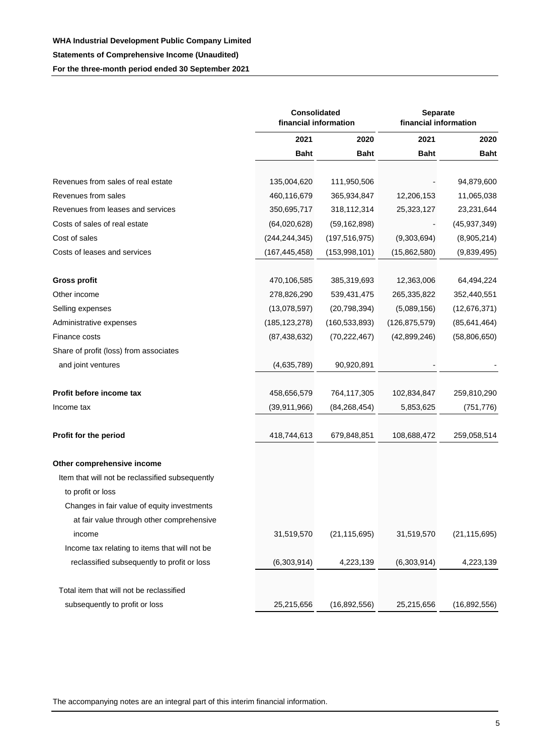|                                                 |                 | <b>Consolidated</b><br>financial information |                 | Separate<br>financial information |  |  |
|-------------------------------------------------|-----------------|----------------------------------------------|-----------------|-----------------------------------|--|--|
|                                                 | 2021            | 2020                                         | 2021            | 2020                              |  |  |
|                                                 | <b>Baht</b>     | <b>Baht</b>                                  | <b>Baht</b>     | Baht                              |  |  |
| Revenues from sales of real estate              | 135,004,620     | 111,950,506                                  |                 | 94,879,600                        |  |  |
| Revenues from sales                             | 460,116,679     | 365,934,847                                  | 12,206,153      | 11,065,038                        |  |  |
| Revenues from leases and services               | 350,695,717     | 318,112,314                                  | 25,323,127      | 23,231,644                        |  |  |
| Costs of sales of real estate                   | (64,020,628)    | (59, 162, 898)                               |                 | (45, 937, 349)                    |  |  |
| Cost of sales                                   | (244, 244, 345) | (197, 516, 975)                              | (9,303,694)     | (8,905,214)                       |  |  |
| Costs of leases and services                    | (167, 445, 458) | (153,998,101)                                | (15,862,580)    | (9,839,495)                       |  |  |
| <b>Gross profit</b>                             | 470,106,585     | 385,319,693                                  | 12,363,006      | 64,494,224                        |  |  |
| Other income                                    | 278,826,290     | 539,431,475                                  | 265,335,822     | 352,440,551                       |  |  |
| Selling expenses                                | (13,078,597)    | (20, 798, 394)                               | (5,089,156)     | (12,676,371)                      |  |  |
| Administrative expenses                         | (185, 123, 278) | (160, 533, 893)                              | (126, 875, 579) | (85, 641, 464)                    |  |  |
| Finance costs                                   | (87, 438, 632)  | (70, 222, 467)                               | (42,899,246)    | (58,806,650)                      |  |  |
| Share of profit (loss) from associates          |                 |                                              |                 |                                   |  |  |
| and joint ventures                              | (4,635,789)     | 90,920,891                                   |                 |                                   |  |  |
| Profit before income tax                        | 458,656,579     | 764,117,305                                  | 102,834,847     | 259,810,290                       |  |  |
| Income tax                                      | (39, 911, 966)  | (84, 268, 454)                               | 5,853,625       | (751, 776)                        |  |  |
| Profit for the period                           | 418,744,613     | 679,848,851                                  | 108,688,472     | 259,058,514                       |  |  |
| Other comprehensive income                      |                 |                                              |                 |                                   |  |  |
| Item that will not be reclassified subsequently |                 |                                              |                 |                                   |  |  |
| to profit or loss                               |                 |                                              |                 |                                   |  |  |
| Changes in fair value of equity investments     |                 |                                              |                 |                                   |  |  |
| at fair value through other comprehensive       |                 |                                              |                 |                                   |  |  |
| income                                          | 31,519,570      | (21, 115, 695)                               | 31,519,570      | (21, 115, 695)                    |  |  |
| Income tax relating to items that will not be   |                 |                                              |                 |                                   |  |  |
| reclassified subsequently to profit or loss     | (6,303,914)     | 4,223,139                                    | (6,303,914)     | 4,223,139                         |  |  |
| Total item that will not be reclassified        |                 |                                              |                 |                                   |  |  |
| subsequently to profit or loss                  | 25,215,656      | (16,892,556)                                 | 25,215,656      | (16,892,556)                      |  |  |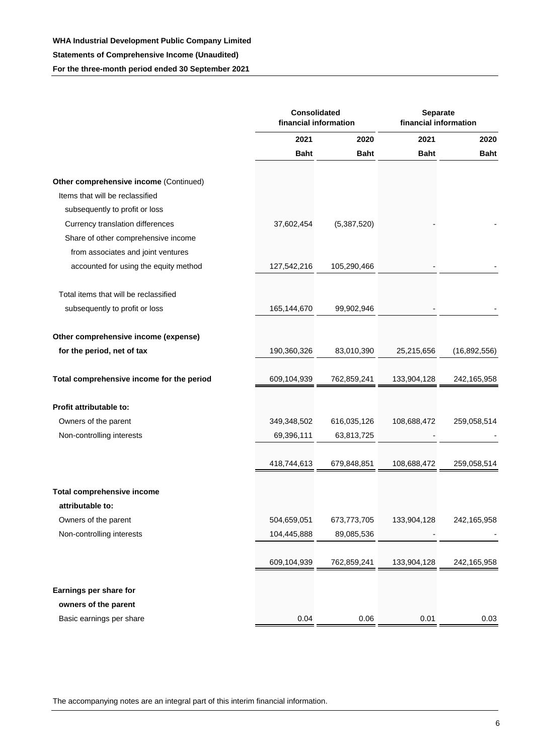|                                           | Consolidated | financial information |             | Separate<br>financial information |  |  |
|-------------------------------------------|--------------|-----------------------|-------------|-----------------------------------|--|--|
|                                           | 2021         | 2020                  | 2021        | 2020                              |  |  |
|                                           | <b>Baht</b>  | <b>Baht</b>           | <b>Baht</b> | <b>Baht</b>                       |  |  |
| Other comprehensive income (Continued)    |              |                       |             |                                   |  |  |
| Items that will be reclassified           |              |                       |             |                                   |  |  |
| subsequently to profit or loss            |              |                       |             |                                   |  |  |
| Currency translation differences          | 37,602,454   | (5,387,520)           |             |                                   |  |  |
| Share of other comprehensive income       |              |                       |             |                                   |  |  |
| from associates and joint ventures        |              |                       |             |                                   |  |  |
| accounted for using the equity method     | 127,542,216  | 105,290,466           |             |                                   |  |  |
| Total items that will be reclassified     |              |                       |             |                                   |  |  |
| subsequently to profit or loss            | 165,144,670  | 99,902,946            |             |                                   |  |  |
|                                           |              |                       |             |                                   |  |  |
| Other comprehensive income (expense)      |              |                       |             |                                   |  |  |
| for the period, net of tax                | 190,360,326  | 83,010,390            | 25,215,656  | (16,892,556)                      |  |  |
| Total comprehensive income for the period | 609,104,939  | 762,859,241           | 133,904,128 | 242,165,958                       |  |  |
| Profit attributable to:                   |              |                       |             |                                   |  |  |
| Owners of the parent                      | 349,348,502  | 616,035,126           | 108,688,472 | 259,058,514                       |  |  |
| Non-controlling interests                 | 69,396,111   | 63,813,725            |             |                                   |  |  |
|                                           | 418,744,613  | 679,848,851           | 108,688,472 | 259,058,514                       |  |  |
| Total comprehensive income                |              |                       |             |                                   |  |  |
| attributable to:                          |              |                       |             |                                   |  |  |
| Owners of the parent                      | 504,659,051  | 673,773,705           | 133,904,128 | 242,165,958                       |  |  |
| Non-controlling interests                 | 104,445,888  | 89,085,536            |             |                                   |  |  |
|                                           | 609,104,939  | 762,859,241           | 133,904,128 | 242,165,958                       |  |  |
| Earnings per share for                    |              |                       |             |                                   |  |  |
| owners of the parent                      |              |                       |             |                                   |  |  |
| Basic earnings per share                  | 0.04         | 0.06                  | 0.01        | 0.03                              |  |  |
|                                           |              |                       |             |                                   |  |  |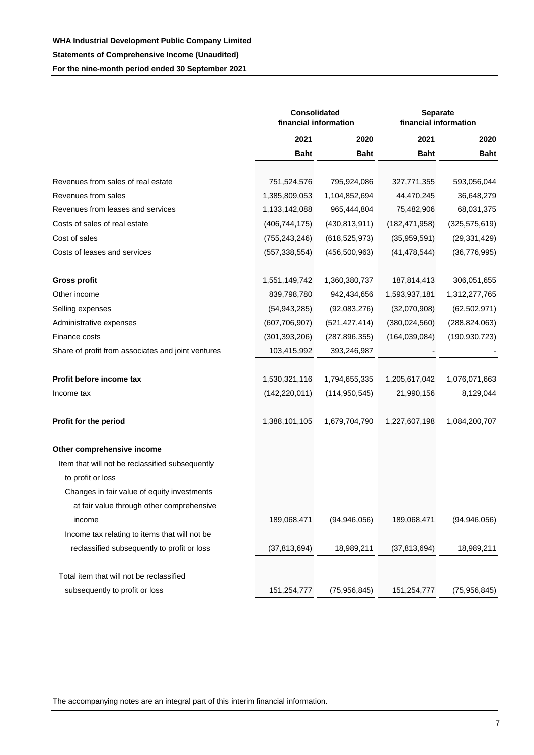|                                                    | <b>Consolidated</b> | financial information | Separate<br>financial information |                 |  |
|----------------------------------------------------|---------------------|-----------------------|-----------------------------------|-----------------|--|
|                                                    | 2021                | 2020                  | 2021                              | 2020            |  |
|                                                    | <b>Baht</b>         | <b>Baht</b>           | <b>Baht</b>                       | <b>Baht</b>     |  |
| Revenues from sales of real estate                 | 751,524,576         | 795,924,086           | 327,771,355                       | 593,056,044     |  |
| Revenues from sales                                | 1,385,809,053       | 1,104,852,694         | 44,470,245                        | 36,648,279      |  |
| Revenues from leases and services                  | 1,133,142,088       | 965,444,804           | 75,482,906                        | 68,031,375      |  |
| Costs of sales of real estate                      | (406, 744, 175)     | (430, 813, 911)       | (182, 471, 958)                   | (325, 575, 619) |  |
| Cost of sales                                      | (755, 243, 246)     | (618, 525, 973)       | (35,959,591)                      | (29, 331, 429)  |  |
| Costs of leases and services                       | (557, 338, 554)     | (456, 500, 963)       | (41, 478, 544)                    | (36, 776, 995)  |  |
| <b>Gross profit</b>                                | 1,551,149,742       | 1,360,380,737         | 187,814,413                       | 306,051,655     |  |
| Other income                                       | 839,798,780         | 942,434,656           | 1,593,937,181                     | 1,312,277,765   |  |
| Selling expenses                                   | (54, 943, 285)      | (92,083,276)          | (32,070,908)                      | (62, 502, 971)  |  |
| Administrative expenses                            | (607, 706, 907)     | (521, 427, 414)       | (380, 024, 560)                   | (288, 824, 063) |  |
| Finance costs                                      | (301, 393, 206)     | (287, 896, 355)       | (164, 039, 084)                   | (190, 930, 723) |  |
| Share of profit from associates and joint ventures | 103,415,992         | 393,246,987           |                                   |                 |  |
| Profit before income tax                           | 1,530,321,116       | 1,794,655,335         | 1,205,617,042                     | 1,076,071,663   |  |
| Income tax                                         | (142, 220, 011)     | (114, 950, 545)       | 21,990,156                        | 8,129,044       |  |
| Profit for the period                              | 1,388,101,105       | 1,679,704,790         | 1,227,607,198                     | 1,084,200,707   |  |
| Other comprehensive income                         |                     |                       |                                   |                 |  |
| Item that will not be reclassified subsequently    |                     |                       |                                   |                 |  |
| to profit or loss                                  |                     |                       |                                   |                 |  |
| Changes in fair value of equity investments        |                     |                       |                                   |                 |  |
| at fair value through other comprehensive          |                     |                       |                                   |                 |  |
| income                                             | 189,068,471         | (94, 946, 056)        | 189,068,471                       | (94, 946, 056)  |  |
| Income tax relating to items that will not be      |                     |                       |                                   |                 |  |
| reclassified subsequently to profit or loss        | (37, 813, 694)      | 18,989,211            | (37, 813, 694)                    | 18,989,211      |  |
| Total item that will not be reclassified           |                     |                       |                                   |                 |  |
| subsequently to profit or loss                     | 151,254,777         | (75, 956, 845)        | 151,254,777                       | (75, 956, 845)  |  |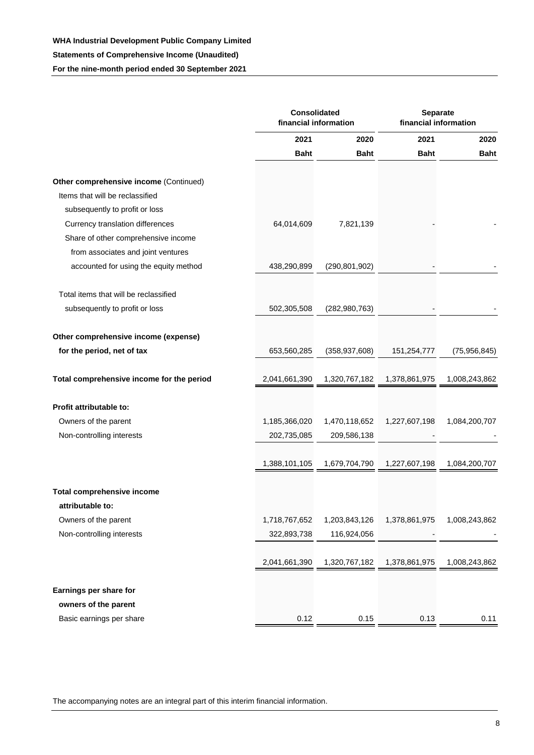|                                           | <b>Consolidated</b> | financial information | Separate<br>financial information |                |  |
|-------------------------------------------|---------------------|-----------------------|-----------------------------------|----------------|--|
|                                           | 2021                | 2020                  | 2021                              | 2020           |  |
|                                           | <b>Baht</b>         | <b>Baht</b>           | <b>Baht</b>                       | <b>Baht</b>    |  |
| Other comprehensive income (Continued)    |                     |                       |                                   |                |  |
| Items that will be reclassified           |                     |                       |                                   |                |  |
| subsequently to profit or loss            |                     |                       |                                   |                |  |
| Currency translation differences          | 64,014,609          | 7,821,139             |                                   |                |  |
| Share of other comprehensive income       |                     |                       |                                   |                |  |
| from associates and joint ventures        |                     |                       |                                   |                |  |
| accounted for using the equity method     | 438,290,899         | (290, 801, 902)       |                                   |                |  |
| Total items that will be reclassified     |                     |                       |                                   |                |  |
| subsequently to profit or loss            | 502,305,508         | (282, 980, 763)       |                                   |                |  |
|                                           |                     |                       |                                   |                |  |
| Other comprehensive income (expense)      |                     |                       |                                   |                |  |
| for the period, net of tax                | 653,560,285         | (358, 937, 608)       | 151,254,777                       | (75, 956, 845) |  |
| Total comprehensive income for the period | 2,041,661,390       | 1,320,767,182         | 1,378,861,975                     | 1,008,243,862  |  |
| Profit attributable to:                   |                     |                       |                                   |                |  |
| Owners of the parent                      | 1,185,366,020       | 1,470,118,652         | 1,227,607,198                     | 1,084,200,707  |  |
| Non-controlling interests                 | 202,735,085         | 209,586,138           |                                   |                |  |
|                                           | 1,388,101,105       | 1,679,704,790         | 1,227,607,198                     | 1,084,200,707  |  |
| Total comprehensive income                |                     |                       |                                   |                |  |
| attributable to:                          |                     |                       |                                   |                |  |
| Owners of the parent                      | 1,718,767,652       | 1,203,843,126         | 1,378,861,975                     | 1,008,243,862  |  |
| Non-controlling interests                 | 322,893,738         | 116,924,056           |                                   |                |  |
|                                           |                     |                       |                                   |                |  |
|                                           | 2,041,661,390       | 1,320,767,182         | 1,378,861,975                     | 1,008,243,862  |  |
| Earnings per share for                    |                     |                       |                                   |                |  |
| owners of the parent                      |                     |                       |                                   |                |  |
| Basic earnings per share                  | 0.12                | 0.15                  | 0.13                              | 0.11           |  |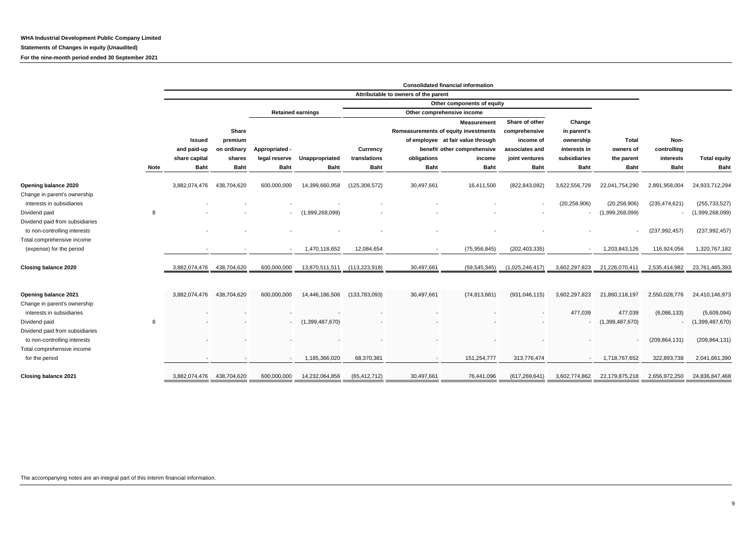**Statements of Changes in equity (Unaudited)**

**For the nine-month period ended 30 September 2021**

|                                 |      |               |             |                          |                          |                 |                                      | <b>Consolidated financial information</b>                  |                                 |                       |                     |                 |                     |
|---------------------------------|------|---------------|-------------|--------------------------|--------------------------|-----------------|--------------------------------------|------------------------------------------------------------|---------------------------------|-----------------------|---------------------|-----------------|---------------------|
|                                 |      |               |             |                          |                          |                 | Attributable to owners of the parent |                                                            |                                 |                       |                     |                 |                     |
|                                 |      |               |             |                          |                          |                 |                                      | Other components of equity                                 |                                 |                       |                     |                 |                     |
|                                 |      |               |             |                          | <b>Retained earnings</b> |                 |                                      | Other comprehensive income                                 |                                 |                       |                     |                 |                     |
|                                 |      | Share         |             |                          |                          |                 |                                      | <b>Measurement</b><br>Remeasurements of equity investments | Share of other<br>comprehensive | Change<br>in parent's |                     |                 |                     |
|                                 |      | Issued        | premium     |                          |                          |                 |                                      | of employee at fair value through                          | income of                       | ownership             | Total               | Non-            |                     |
|                                 |      | and paid-up   | on ordinary | Appropriated -           |                          | Currency        |                                      | benefit other comprehensive                                | associates and                  | interests in          | owners of           | controlling     |                     |
|                                 |      | share capital | shares      | legal reserve            | Unappropriated           | translations    | obligations                          | income                                                     | joint ventures                  | subsidiaries          | the parent          | interests       | <b>Total equity</b> |
|                                 | Note | <b>Baht</b>   | <b>Baht</b> | <b>Baht</b>              | <b>Baht</b>              | <b>Baht</b>     | <b>Baht</b>                          | <b>Baht</b>                                                | <b>Baht</b>                     | <b>Baht</b>           | <b>Baht</b>         | <b>Baht</b>     | <b>Baht</b>         |
| Opening balance 2020            |      | 3,882,074,476 | 438,704,620 | 600,000,000              | 14,399,660,958           | (125, 308, 572) | 30,497,661                           | 16,411,500                                                 | (822, 843, 082)                 | 3,622,556,729         | 22,041,754,290      | 2,891,958,004   | 24,933,712,294      |
| Change in parent's ownership    |      |               |             |                          |                          |                 |                                      |                                                            |                                 |                       |                     |                 |                     |
| interests in subsidiaries       |      |               |             |                          |                          |                 |                                      |                                                            |                                 | (20, 258, 906)        | (20, 258, 906)      | (235, 474, 621) | (255, 733, 527)     |
| Dividend paid                   | 8    |               |             |                          | (1,999,268,099)          |                 |                                      |                                                            |                                 |                       | (1,999,268,099)     |                 | (1,999,268,099)     |
| Dividend paid from subsidiaries |      |               |             |                          |                          |                 |                                      |                                                            |                                 |                       |                     |                 |                     |
| to non-controlling interests    |      |               |             |                          |                          |                 |                                      |                                                            |                                 |                       |                     | (237, 992, 457) | (237, 992, 457)     |
| Total comprehensive income      |      |               |             |                          |                          |                 |                                      |                                                            |                                 |                       |                     |                 |                     |
| (expense) for the period        |      |               |             | $\overline{\phantom{a}}$ | 1,470,118,652            | 12,084,654      | $\sim$                               | (75,956,845)                                               | (202, 403, 335)                 |                       | 1,203,843,126       | 116,924,056     | 1,320,767,182       |
| Closing balance 2020            |      | 3,882,074,476 | 438,704,620 | 600,000,000              | 13,870,511,511           | (113, 223, 918) | 30,497,661                           | (59, 545, 345)                                             | (1,025,246,417)                 | 3,602,297,823         | 21,226,070,411      | 2,535,414,982   | 23,761,485,393      |
|                                 |      |               |             |                          |                          |                 |                                      |                                                            |                                 |                       |                     |                 |                     |
| Opening balance 2021            |      | 3,882,074,476 | 438,704,620 | 600,000,000              | 14,446,186,506           | (133, 783, 093) | 30,497,661                           | (74, 813, 681)                                             | (931, 046, 115)                 | 3,602,297,823         | 21,860,118,197      | 2,550,028,776   | 24,410,146,973      |
| Change in parent's ownership    |      |               |             |                          |                          |                 |                                      |                                                            |                                 |                       |                     |                 |                     |
| interests in subsidiaries       |      |               |             |                          |                          |                 |                                      |                                                            |                                 | 477,039               | 477,039             | (6,086,133)     | (5,609,094)         |
| Dividend paid                   | 8    |               |             |                          | (1,399,487,670)          |                 |                                      |                                                            |                                 |                       | $-$ (1,399,487,670) |                 | (1,399,487,670)     |
| Dividend paid from subsidiaries |      |               |             |                          |                          |                 |                                      |                                                            |                                 |                       |                     |                 |                     |
| to non-controlling interests    |      |               |             |                          |                          |                 |                                      |                                                            |                                 |                       |                     | (209, 864, 131) | (209, 864, 131)     |
| Total comprehensive income      |      |               |             |                          |                          |                 |                                      |                                                            |                                 |                       |                     |                 |                     |
| for the period                  |      |               |             | $\overline{\phantom{a}}$ | 1,185,366,020            | 68,370,381      |                                      | 151,254,777                                                | 313,776,474                     |                       | 1,718,767,652       | 322,893,738     | 2,041,661,390       |
| Closing balance 2021            |      | 3,882,074,476 | 438,704,620 | 600,000,000              | 14,232,064,856           | (65, 412, 712)  | 30,497,661                           | 76,441,096                                                 | (617, 269, 641)                 | 3,602,774,862         | 22,179,875,218      | 2,656,972,250   | 24,836,847,468      |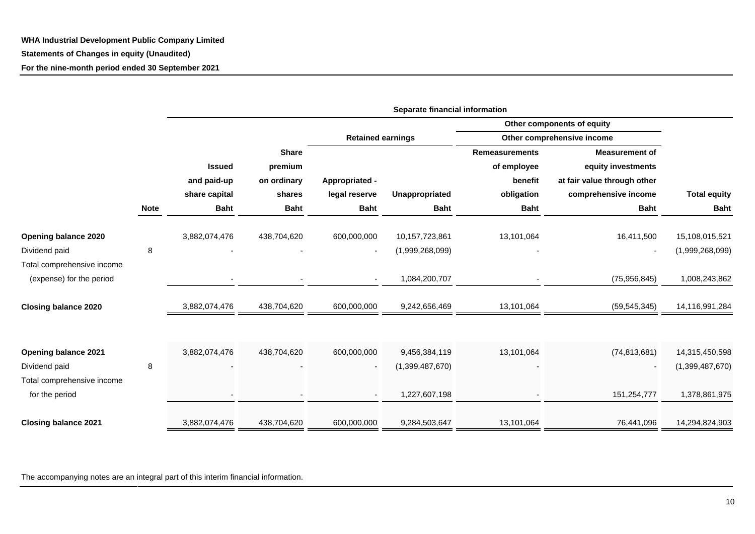# **WHA Industrial Development Public Company Limited Statements of Changes in equity (Unaudited)**

**For the nine-month period ended 30 September 2021**

|                             |             | Separate financial information |              |                          |                       |                       |                             |                     |  |  |  |
|-----------------------------|-------------|--------------------------------|--------------|--------------------------|-----------------------|-----------------------|-----------------------------|---------------------|--|--|--|
|                             |             |                                |              |                          |                       |                       | Other components of equity  |                     |  |  |  |
|                             |             |                                |              | <b>Retained earnings</b> |                       |                       | Other comprehensive income  |                     |  |  |  |
|                             |             |                                | <b>Share</b> |                          |                       | <b>Remeasurements</b> | <b>Measurement of</b>       |                     |  |  |  |
|                             |             | <b>Issued</b>                  | premium      |                          |                       | of employee           | equity investments          |                     |  |  |  |
|                             |             | and paid-up                    | on ordinary  | Appropriated -           |                       | benefit               | at fair value through other |                     |  |  |  |
|                             |             | share capital                  | shares       | legal reserve            | <b>Unappropriated</b> | obligation            | comprehensive income        | <b>Total equity</b> |  |  |  |
|                             | <b>Note</b> | <b>Baht</b>                    | <b>Baht</b>  | <b>Baht</b>              | <b>Baht</b>           | <b>Baht</b>           | <b>Baht</b>                 | <b>Baht</b>         |  |  |  |
| Opening balance 2020        |             | 3,882,074,476                  | 438,704,620  | 600,000,000              | 10,157,723,861        | 13,101,064            | 16,411,500                  | 15,108,015,521      |  |  |  |
| Dividend paid               | 8           |                                |              | $\blacksquare$           | (1,999,268,099)       |                       |                             | (1,999,268,099)     |  |  |  |
| Total comprehensive income  |             |                                |              |                          |                       |                       |                             |                     |  |  |  |
| (expense) for the period    |             |                                |              |                          | 1,084,200,707         |                       | (75, 956, 845)              | 1,008,243,862       |  |  |  |
| <b>Closing balance 2020</b> |             | 3,882,074,476                  | 438,704,620  | 600,000,000              | 9,242,656,469         | 13,101,064            | (59, 545, 345)              | 14,116,991,284      |  |  |  |
|                             |             |                                |              |                          |                       |                       |                             |                     |  |  |  |
| <b>Opening balance 2021</b> |             | 3,882,074,476                  | 438,704,620  | 600,000,000              | 9,456,384,119         | 13,101,064            | (74, 813, 681)              | 14,315,450,598      |  |  |  |
| Dividend paid               | 8           |                                |              | $\blacksquare$           | (1,399,487,670)       |                       |                             | (1,399,487,670)     |  |  |  |
| Total comprehensive income  |             |                                |              |                          |                       |                       |                             |                     |  |  |  |
| for the period              |             |                                |              |                          | 1,227,607,198         |                       | 151,254,777                 | 1,378,861,975       |  |  |  |
| <b>Closing balance 2021</b> |             | 3,882,074,476                  | 438,704,620  | 600,000,000              | 9,284,503,647         | 13,101,064            | 76,441,096                  | 14,294,824,903      |  |  |  |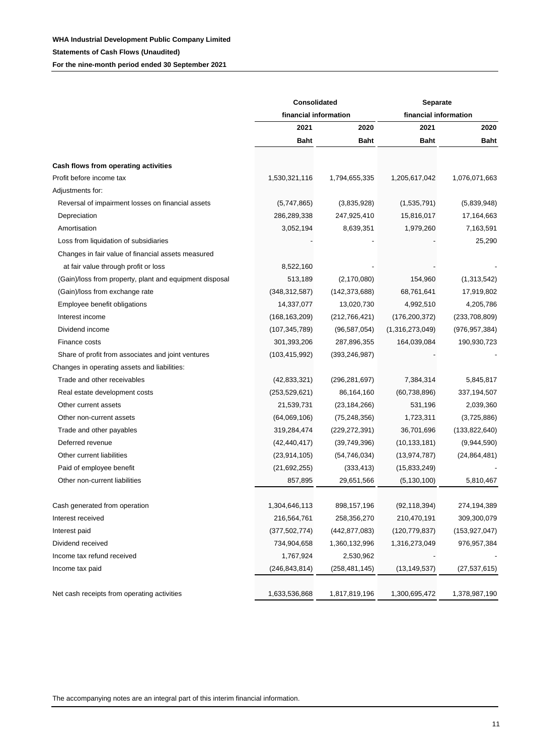|                                                         | Consolidated    |                       |                       | Separate        |  |  |  |
|---------------------------------------------------------|-----------------|-----------------------|-----------------------|-----------------|--|--|--|
|                                                         |                 | financial information | financial information |                 |  |  |  |
|                                                         | 2021            | 2020                  | 2021                  | 2020            |  |  |  |
|                                                         | <b>Baht</b>     | Baht                  | <b>Baht</b>           | <b>Baht</b>     |  |  |  |
| Cash flows from operating activities                    |                 |                       |                       |                 |  |  |  |
| Profit before income tax                                | 1,530,321,116   | 1,794,655,335         | 1,205,617,042         | 1,076,071,663   |  |  |  |
| Adjustments for:                                        |                 |                       |                       |                 |  |  |  |
| Reversal of impairment losses on financial assets       | (5,747,865)     | (3,835,928)           | (1,535,791)           | (5,839,948)     |  |  |  |
| Depreciation                                            | 286,289,338     | 247,925,410           | 15,816,017            | 17,164,663      |  |  |  |
| Amortisation                                            | 3,052,194       | 8,639,351             | 1,979,260             | 7,163,591       |  |  |  |
| Loss from liquidation of subsidiaries                   |                 |                       |                       | 25,290          |  |  |  |
| Changes in fair value of financial assets measured      |                 |                       |                       |                 |  |  |  |
| at fair value through profit or loss                    | 8,522,160       |                       |                       |                 |  |  |  |
| (Gain)/loss from property, plant and equipment disposal | 513,189         | (2, 170, 080)         | 154,960               | (1,313,542)     |  |  |  |
| (Gain)/loss from exchange rate                          | (348, 312, 587) | (142, 373, 688)       | 68,761,641            | 17,919,802      |  |  |  |
| Employee benefit obligations                            | 14,337,077      | 13,020,730            | 4,992,510             | 4,205,786       |  |  |  |
| Interest income                                         | (168, 163, 209) | (212, 766, 421)       | (176, 200, 372)       | (233,708,809)   |  |  |  |
| Dividend income                                         | (107, 345, 789) | (96, 587, 054)        | (1,316,273,049)       | (976, 957, 384) |  |  |  |
| Finance costs                                           | 301,393,206     | 287,896,355           | 164,039,084           | 190,930,723     |  |  |  |
| Share of profit from associates and joint ventures      | (103, 415, 992) | (393, 246, 987)       |                       |                 |  |  |  |
| Changes in operating assets and liabilities:            |                 |                       |                       |                 |  |  |  |
| Trade and other receivables                             | (42, 833, 321)  | (296, 281, 697)       | 7,384,314             | 5,845,817       |  |  |  |
| Real estate development costs                           | (253, 529, 621) | 86,164,160            | (60, 738, 896)        | 337,194,507     |  |  |  |
| Other current assets                                    | 21,539,731      | (23, 184, 266)        | 531,196               | 2,039,360       |  |  |  |
| Other non-current assets                                | (64,069,106)    | (75, 248, 356)        | 1,723,311             | (3,725,886)     |  |  |  |
| Trade and other payables                                | 319,284,474     | (229, 272, 391)       | 36,701,696            | (133,822,640)   |  |  |  |
| Deferred revenue                                        | (42, 440, 417)  | (39,749,396)          | (10, 133, 181)        | (9,944,590)     |  |  |  |
| Other current liabilities                               | (23, 914, 105)  | (54, 746, 034)        | (13, 974, 787)        | (24, 864, 481)  |  |  |  |
| Paid of employee benefit                                | (21,692,255)    | (333, 413)            | (15,833,249)          |                 |  |  |  |
| Other non-current liabilities                           | 857,895         | 29,651,566            | (5, 130, 100)         | 5,810,467       |  |  |  |
| Cash generated from operation                           | 1,304,646,113   | 898,157,196           | (92, 118, 394)        | 274,194,389     |  |  |  |
| Interest received                                       | 216,564,761     | 258,356,270           | 210,470,191           | 309,300,079     |  |  |  |
| Interest paid                                           | (377, 502, 774) | (442, 877, 083)       | (120, 779, 837)       | (153, 927, 047) |  |  |  |
| Dividend received                                       | 734,904,658     | 1,360,132,996         | 1,316,273,049         | 976, 957, 384   |  |  |  |
| Income tax refund received                              | 1,767,924       | 2,530,962             |                       |                 |  |  |  |
| Income tax paid                                         | (246, 843, 814) | (258, 481, 145)       | (13, 149, 537)        | (27, 537, 615)  |  |  |  |
| Net cash receipts from operating activities             | 1,633,536,868   | 1,817,819,196         | 1,300,695,472         | 1,378,987,190   |  |  |  |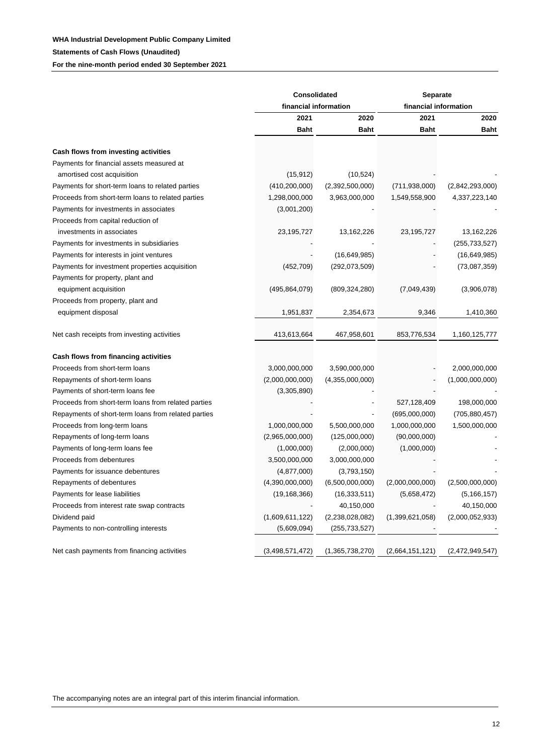|                                                     | <b>Consolidated</b>   |                 |                       | Separate        |  |  |
|-----------------------------------------------------|-----------------------|-----------------|-----------------------|-----------------|--|--|
|                                                     | financial information |                 | financial information |                 |  |  |
|                                                     | 2021                  | 2020            | 2021                  | 2020            |  |  |
|                                                     | <b>Baht</b>           | <b>Baht</b>     | <b>Baht</b>           | <b>Baht</b>     |  |  |
| Cash flows from investing activities                |                       |                 |                       |                 |  |  |
| Payments for financial assets measured at           |                       |                 |                       |                 |  |  |
| amortised cost acquisition                          | (15, 912)             | (10, 524)       |                       |                 |  |  |
| Payments for short-term loans to related parties    | (410, 200, 000)       | (2,392,500,000) | (711, 938, 000)       | (2,842,293,000) |  |  |
| Proceeds from short-term loans to related parties   | 1,298,000,000         | 3,963,000,000   | 1,549,558,900         | 4,337,223,140   |  |  |
| Payments for investments in associates              | (3,001,200)           |                 |                       |                 |  |  |
| Proceeds from capital reduction of                  |                       |                 |                       |                 |  |  |
| investments in associates                           | 23,195,727            | 13,162,226      | 23,195,727            | 13,162,226      |  |  |
| Payments for investments in subsidiaries            |                       |                 |                       | (255, 733, 527) |  |  |
| Payments for interests in joint ventures            |                       | (16,649,985)    |                       | (16, 649, 985)  |  |  |
| Payments for investment properties acquisition      | (452, 709)            | (292, 073, 509) |                       | (73,087,359)    |  |  |
| Payments for property, plant and                    |                       |                 |                       |                 |  |  |
| equipment acquisition                               | (495, 864, 079)       | (809, 324, 280) | (7,049,439)           | (3,906,078)     |  |  |
| Proceeds from property, plant and                   |                       |                 |                       |                 |  |  |
| equipment disposal                                  | 1,951,837             | 2,354,673       | 9,346                 | 1,410,360       |  |  |
|                                                     |                       |                 |                       |                 |  |  |
| Net cash receipts from investing activities         | 413,613,664           | 467,958,601     | 853,776,534           | 1,160,125,777   |  |  |
| Cash flows from financing activities                |                       |                 |                       |                 |  |  |
| Proceeds from short-term loans                      | 3,000,000,000         | 3,590,000,000   |                       | 2,000,000,000   |  |  |
| Repayments of short-term loans                      | (2,000,000,000)       | (4,355,000,000) |                       | (1,000,000,000) |  |  |
| Payments of short-term loans fee                    | (3,305,890)           |                 |                       |                 |  |  |
| Proceeds from short-term loans from related parties |                       |                 | 527,128,409           | 198,000,000     |  |  |
| Repayments of short-term loans from related parties |                       |                 | (695,000,000)         | (705, 880, 457) |  |  |
| Proceeds from long-term loans                       | 1,000,000,000         | 5,500,000,000   | 1,000,000,000         | 1,500,000,000   |  |  |
| Repayments of long-term loans                       | (2,965,000,000)       | (125,000,000)   | (90,000,000)          |                 |  |  |
| Payments of long-term loans fee                     | (1,000,000)           | (2,000,000)     | (1,000,000)           |                 |  |  |
| Proceeds from debentures                            | 3,500,000,000         | 3,000,000,000   |                       |                 |  |  |
| Payments for issuance debentures                    | (4,877,000)           | (3,793,150)     |                       |                 |  |  |
| Repayments of debentures                            | (4,390,000,000)       | (6,500,000,000) | (2,000,000,000)       | (2,500,000,000) |  |  |
| Payments for lease liabilities                      | (19, 168, 366)        | (16, 333, 511)  | (5,658,472)           | (5, 166, 157)   |  |  |
| Proceeds from interest rate swap contracts          |                       | 40,150,000      |                       | 40,150,000      |  |  |
| Dividend paid                                       | (1,609,611,122)       | (2,238,028,082) | (1,399,621,058)       | (2,000,052,933) |  |  |
| Payments to non-controlling interests               | (5,609,094)           | (255,733,527)   |                       |                 |  |  |
|                                                     |                       |                 |                       |                 |  |  |
| Net cash payments from financing activities         | (3,498,571,472)       | (1,365,738,270) | (2,664,151,121)       | (2,472,949,547) |  |  |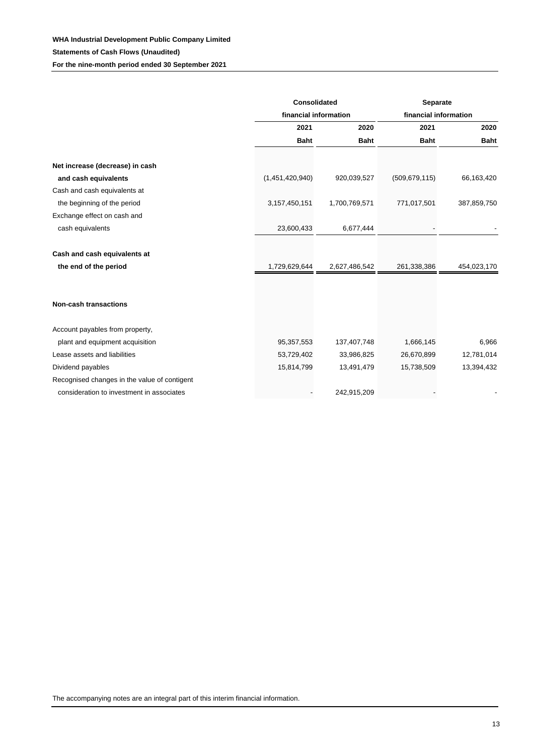|                                              |                 | Consolidated          |                 | Separate              |  |  |
|----------------------------------------------|-----------------|-----------------------|-----------------|-----------------------|--|--|
|                                              |                 | financial information |                 | financial information |  |  |
|                                              | 2021            | 2020                  | 2021            | 2020                  |  |  |
|                                              | <b>Baht</b>     | <b>Baht</b>           | <b>Baht</b>     | <b>Baht</b>           |  |  |
| Net increase (decrease) in cash              |                 |                       |                 |                       |  |  |
| and cash equivalents                         | (1,451,420,940) | 920,039,527           | (509, 679, 115) | 66,163,420            |  |  |
| Cash and cash equivalents at                 |                 |                       |                 |                       |  |  |
| the beginning of the period                  | 3,157,450,151   | 1,700,769,571         | 771,017,501     | 387,859,750           |  |  |
| Exchange effect on cash and                  |                 |                       |                 |                       |  |  |
| cash equivalents                             | 23,600,433      | 6,677,444             |                 |                       |  |  |
|                                              |                 |                       |                 |                       |  |  |
| Cash and cash equivalents at                 |                 |                       |                 |                       |  |  |
| the end of the period                        | 1,729,629,644   | 2,627,486,542         | 261,338,386     | 454,023,170           |  |  |
|                                              |                 |                       |                 |                       |  |  |
| <b>Non-cash transactions</b>                 |                 |                       |                 |                       |  |  |
| Account payables from property,              |                 |                       |                 |                       |  |  |
| plant and equipment acquisition              | 95,357,553      | 137,407,748           | 1,666,145       | 6,966                 |  |  |
| Lease assets and liabilities                 | 53,729,402      | 33,986,825            | 26,670,899      | 12,781,014            |  |  |
| Dividend payables                            | 15,814,799      | 13,491,479            | 15,738,509      | 13,394,432            |  |  |
| Recognised changes in the value of contigent |                 |                       |                 |                       |  |  |
| consideration to investment in associates    |                 | 242,915,209           |                 |                       |  |  |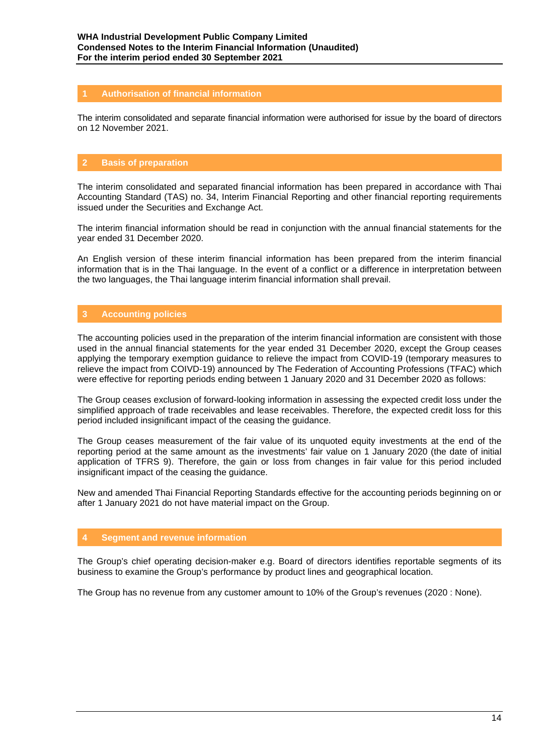### **1 Authorisation of financial information**

The interim consolidated and separate financial information were authorised for issue by the board of directors on 12 November 2021.

## **2 Basis of preparation**

The interim consolidated and separated financial information has been prepared in accordance with Thai Accounting Standard (TAS) no. 34, Interim Financial Reporting and other financial reporting requirements issued under the Securities and Exchange Act.

The interim financial information should be read in conjunction with the annual financial statements for the year ended 31 December 2020.

An English version of these interim financial information has been prepared from the interim financial information that is in the Thai language. In the event of a conflict or a difference in interpretation between the two languages, the Thai language interim financial information shall prevail.

## **3 Accounting policies**

The accounting policies used in the preparation of the interim financial information are consistent with those used in the annual financial statements for the year ended 31 December 2020, except the Group ceases applying the temporary exemption guidance to relieve the impact from COVID-19 (temporary measures to relieve the impact from COIVD-19) announced by The Federation of Accounting Professions (TFAC) which were effective for reporting periods ending between 1 January 2020 and 31 December 2020 as follows:

The Group ceases exclusion of forward-looking information in assessing the expected credit loss under the simplified approach of trade receivables and lease receivables. Therefore, the expected credit loss for this period included insignificant impact of the ceasing the guidance.

The Group ceases measurement of the fair value of its unquoted equity investments at the end of the reporting period at the same amount as the investments' fair value on 1 January 2020 (the date of initial application of TFRS 9). Therefore, the gain or loss from changes in fair value for this period included insignificant impact of the ceasing the guidance.

New and amended Thai Financial Reporting Standards effective for the accounting periods beginning on or after 1 January 2021 do not have material impact on the Group.

### **4 Segment and revenue information**

The Group's chief operating decision-maker e.g. Board of directors identifies reportable segments of its business to examine the Group's performance by product lines and geographical location.

The Group has no revenue from any customer amount to 10% of the Group's revenues (2020 : None).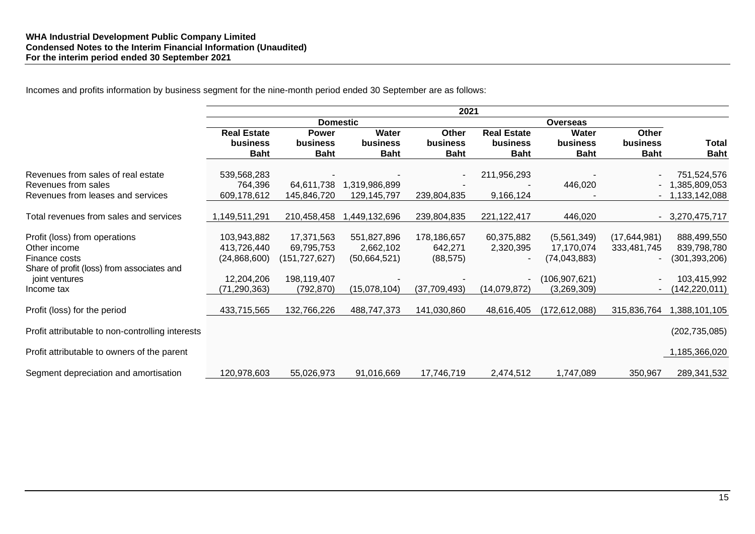Incomes and profits information by business segment for the nine-month period ended 30 September are as follows:

|                                                  |                                |                                 |                   | 2021                     |                                |                   |                   |                 |
|--------------------------------------------------|--------------------------------|---------------------------------|-------------------|--------------------------|--------------------------------|-------------------|-------------------|-----------------|
|                                                  |                                |                                 | <b>Domestic</b>   |                          |                                |                   |                   |                 |
|                                                  | <b>Real Estate</b><br>business | <b>Power</b><br><b>business</b> | Water<br>business | Other<br>business        | <b>Real Estate</b><br>business | Water<br>business | Other<br>business | <b>Total</b>    |
|                                                  | <b>Baht</b>                    | <b>Baht</b>                     | <b>Baht</b>       | <b>Baht</b>              | <b>Baht</b>                    | <b>Baht</b>       | <b>Baht</b>       | <b>Baht</b>     |
| Revenues from sales of real estate               | 539,568,283                    |                                 |                   | $\overline{\phantom{a}}$ | 211,956,293                    |                   |                   | 751,524,576     |
| Revenues from sales                              | 764,396                        | 64,611,738                      | 1,319,986,899     |                          |                                | 446,020           |                   | 1,385,809,053   |
| Revenues from leases and services                | 609,178,612                    | 145,846,720                     | 129,145,797       | 239,804,835              | 9,166,124                      |                   |                   | 1,133,142,088   |
| Total revenues from sales and services           | 1,149,511,291                  | 210,458,458                     | ,449,132,696      | 239,804,835              | 221, 122, 417                  | 446,020           |                   | 3,270,475,717   |
| Profit (loss) from operations                    | 103,943,882                    | 17,371,563                      | 551,827,896       | 178,186,657              | 60,375,882                     | (5,561,349)       | (17,644,981)      | 888,499,550     |
| Other income                                     | 413,726,440                    | 69,795,753                      | 2,662,102         | 642,271                  | 2,320,395                      | 17,170,074        | 333,481,745       | 839,798,780     |
| Finance costs                                    | (24,868,600)                   | (151, 727, 627)                 | (50,664,521)      | (88, 575)                |                                | (74, 043, 883)    |                   | (301, 393, 206) |
| Share of profit (loss) from associates and       |                                |                                 |                   |                          |                                |                   |                   |                 |
| joint ventures                                   | 12,204,206                     | 198,119,407                     |                   |                          |                                | (106, 907, 621)   |                   | 103,415,992     |
| Income tax                                       | 71,290,363)                    | (792, 870)                      | (15,078,104)      | (37,709,493)             | (14,079,872)                   | (3,269,309)       |                   | (142, 220, 011) |
| Profit (loss) for the period                     | 433,715,565                    | 132,766,226                     | 488,747,373       | 141,030,860              | 48,616,405                     | (172, 612, 088)   | 315,836,764       | 1,388,101,105   |
| Profit attributable to non-controlling interests |                                |                                 |                   |                          |                                |                   |                   | (202, 735, 085) |
| Profit attributable to owners of the parent      |                                |                                 |                   |                          |                                |                   |                   | 1,185,366,020   |
| Segment depreciation and amortisation            | 120,978,603                    | 55,026,973                      | 91,016,669        | 17,746,719               | 2,474,512                      | 1,747,089         | 350,967           | 289,341,532     |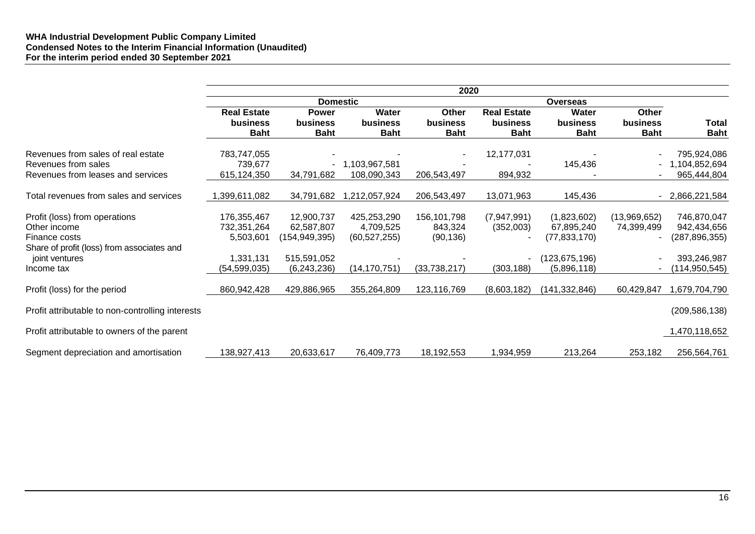#### **WHA Industrial Development Public Company Limited Condensed Notes to the Interim Financial Information (Unaudited) For the interim period ended 30 September 2021**

|                                                  | 2020               |                 |                  |                 |                    |                 |                |                 |
|--------------------------------------------------|--------------------|-----------------|------------------|-----------------|--------------------|-----------------|----------------|-----------------|
|                                                  |                    |                 | <b>Domestic</b>  |                 |                    |                 |                |                 |
|                                                  | <b>Real Estate</b> | <b>Power</b>    | Water            | Other           | <b>Real Estate</b> | Water           | Other          |                 |
|                                                  | <b>business</b>    | business        | <b>business</b>  | <b>business</b> | <b>business</b>    | business        | business       | Total           |
|                                                  | <b>Baht</b>        | <b>Baht</b>     | <b>Baht</b>      | <b>Baht</b>     | <b>Baht</b>        | <b>Baht</b>     | <b>Baht</b>    | <b>Baht</b>     |
| Revenues from sales of real estate               | 783,747,055        |                 |                  |                 | 12,177,031         |                 |                | 795,924,086     |
| Revenues from sales                              | 739,677            |                 | $-1,103,967,581$ |                 |                    | 145,436         | $\blacksquare$ | 1,104,852,694   |
| Revenues from leases and services                | 615,124,350        | 34,791,682      | 108,090,343      | 206,543,497     | 894,932            |                 | $\blacksquare$ | 965,444,804     |
| Total revenues from sales and services           | 1,399,611,082      | 34,791,682      | 1,212,057,924    | 206,543,497     | 13,071,963         | 145,436         |                | 2,866,221,584   |
| Profit (loss) from operations                    | 176,355,467        | 12,900,737      | 425,253,290      | 156,101,798     | (7,947,991)        | (1,823,602)     | (13,969,652)   | 746,870,047     |
| Other income                                     | 732,351,264        | 62,587,807      | 4,709,525        | 843,324         | (352,003)          | 67,895,240      | 74,399,499     | 942,434,656     |
| Finance costs                                    | 5,503,601          | (154, 949, 395) | (60, 527, 255)   | (90, 136)       |                    | (77, 833, 170)  |                | (287,896,355)   |
| Share of profit (loss) from associates and       |                    |                 |                  |                 |                    |                 |                |                 |
| joint ventures                                   | 1,331,131          | 515,591,052     |                  |                 |                    | (123, 675, 196) |                | 393,246,987     |
| Income tax                                       | (54, 599, 035)     | (6, 243, 236)   | (14, 170, 751)   | (33, 738, 217)  | (303, 188)         | (5,896,118)     |                | (114,950,545)   |
| Profit (loss) for the period                     | 860,942,428        | 429,886,965     | 355,264,809      | 123,116,769     | (8,603,182)        | (141, 332, 846) | 60,429,847     | 1,679,704,790   |
| Profit attributable to non-controlling interests |                    |                 |                  |                 |                    |                 |                | (209, 586, 138) |
| Profit attributable to owners of the parent      |                    |                 |                  |                 |                    |                 |                | 1,470,118,652   |
| Segment depreciation and amortisation            | 138,927,413        | 20,633,617      | 76,409,773       | 18,192,553      | 1,934,959          | 213,264         | 253,182        | 256,564,761     |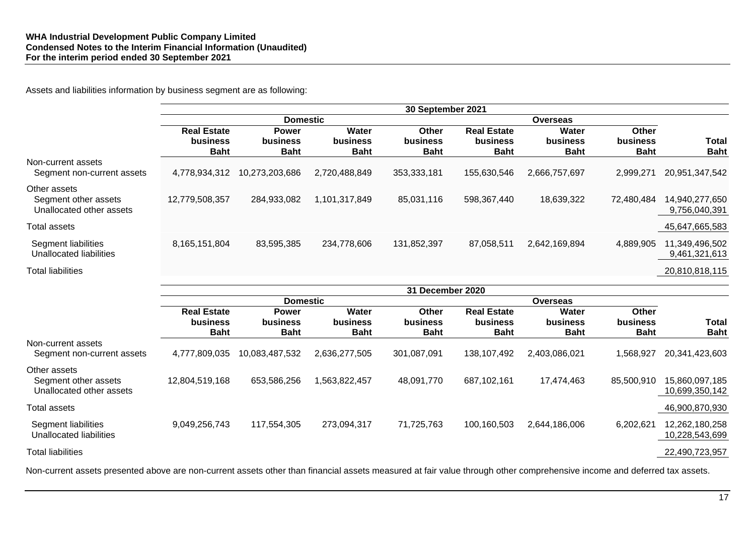Assets and liabilities information by business segment are as following:

|                                                                  |                                               |                                                |                                  | 30 September 2021                |                                                      |                                  |                                  |                                 |
|------------------------------------------------------------------|-----------------------------------------------|------------------------------------------------|----------------------------------|----------------------------------|------------------------------------------------------|----------------------------------|----------------------------------|---------------------------------|
|                                                                  |                                               | <b>Domestic</b>                                |                                  |                                  |                                                      |                                  |                                  |                                 |
|                                                                  | <b>Real Estate</b><br>business<br><b>Baht</b> | <b>Power</b><br><b>business</b><br><b>Baht</b> | Water<br>business<br><b>Baht</b> | Other<br>business<br><b>Baht</b> | <b>Real Estate</b><br><b>business</b><br><b>Baht</b> | Water<br>business<br><b>Baht</b> | Other<br>business<br><b>Baht</b> | <b>Total</b><br><b>Baht</b>     |
| Non-current assets<br>Segment non-current assets                 | 4,778,934,312                                 | 10,273,203,686                                 | 2,720,488,849                    | 353,333,181                      | 155,630,546                                          | 2,666,757,697                    | 2,999,271                        | 20,951,347,542                  |
| Other assets<br>Segment other assets<br>Unallocated other assets | 12,779,508,357                                | 284,933,082                                    | 1,101,317,849                    | 85,031,116                       | 598,367,440                                          | 18,639,322                       | 72,480,484                       | 14,940,277,650<br>9,756,040,391 |
| Total assets                                                     |                                               |                                                |                                  |                                  |                                                      |                                  |                                  | 45,647,665,583                  |
| Segment liabilities<br>Unallocated liabilities                   | 8,165,151,804                                 | 83,595,385                                     | 234,778,606                      | 131,852,397                      | 87,058,511                                           | 2,642,169,894                    | 4,889,905                        | 11,349,496,502<br>9,461,321,613 |
| <b>Total liabilities</b>                                         |                                               |                                                |                                  |                                  |                                                      |                                  |                                  | 20,810,818,115                  |

|                                                                  |                                                      |                                                |                                         | 31 December 2020                        |                                               |                                         |                                  |                                  |
|------------------------------------------------------------------|------------------------------------------------------|------------------------------------------------|-----------------------------------------|-----------------------------------------|-----------------------------------------------|-----------------------------------------|----------------------------------|----------------------------------|
|                                                                  |                                                      | <b>Domestic</b>                                |                                         |                                         |                                               | <b>Overseas</b>                         |                                  |                                  |
|                                                                  | <b>Real Estate</b><br><b>business</b><br><b>Baht</b> | <b>Power</b><br><b>business</b><br><b>Baht</b> | Water<br><b>business</b><br><b>Baht</b> | Other<br><b>business</b><br><b>Baht</b> | <b>Real Estate</b><br>business<br><b>Baht</b> | Water<br><b>business</b><br><b>Baht</b> | Other<br>business<br><b>Baht</b> | <b>Total</b><br><b>Baht</b>      |
| Non-current assets<br>Segment non-current assets                 | 4,777,809,035                                        | 10,083,487,532                                 | 2,636,277,505                           | 301,087,091                             | 138, 107, 492                                 | 2,403,086,021                           | 1,568,927                        | 20,341,423,603                   |
| Other assets<br>Segment other assets<br>Unallocated other assets | 12,804,519,168                                       | 653,586,256                                    | ,563,822,457                            | 48,091,770                              | 687,102,161                                   | 17,474,463                              | 85,500,910                       | 15,860,097,185<br>10,699,350,142 |
| Total assets                                                     |                                                      |                                                |                                         |                                         |                                               |                                         |                                  | 46,900,870,930                   |
| Segment liabilities<br>Unallocated liabilities                   | 9,049,256,743                                        | 117,554,305                                    | 273,094,317                             | 71,725,763                              | 100,160,503                                   | 2,644,186,006                           | 6,202,621                        | 12,262,180,258<br>10,228,543,699 |
| <b>Total liabilities</b>                                         |                                                      |                                                |                                         |                                         |                                               |                                         |                                  | 22,490,723,957                   |
|                                                                  |                                                      |                                                |                                         |                                         |                                               |                                         |                                  |                                  |

Non-current assets presented above are non-current assets other than financial assets measured at fair value through other comprehensive income and deferred tax assets.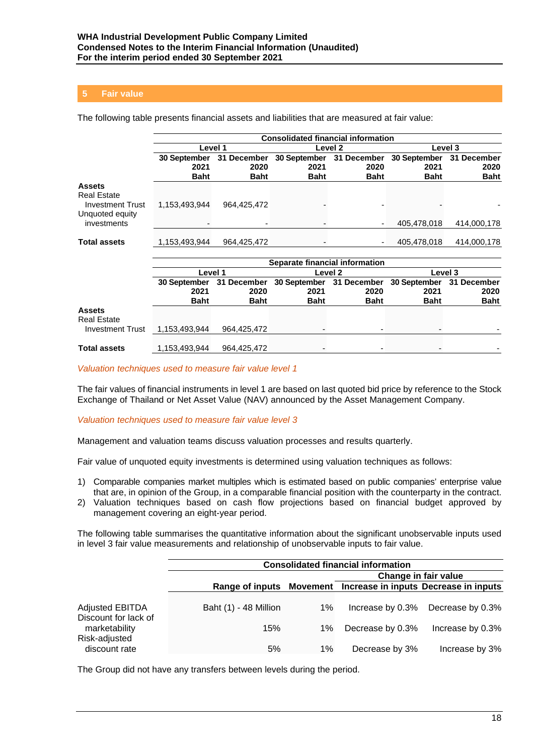## **5 Fair value**

The following table presents financial assets and liabilities that are measured at fair value:

|                         |                      |                     |                      | <b>Consolidated financial information</b> |                      |                     |  |
|-------------------------|----------------------|---------------------|----------------------|-------------------------------------------|----------------------|---------------------|--|
|                         |                      | Level 1             |                      | Level <sub>2</sub>                        | Level 3              |                     |  |
|                         | 30 September<br>2021 | 31 December<br>2020 | 30 September<br>2021 | 31 December<br>2020                       | 30 September<br>2021 | 31 December<br>2020 |  |
|                         | <b>Baht</b>          | Baht                | <b>Baht</b>          | <b>Baht</b>                               | <b>Baht</b>          | <b>Baht</b>         |  |
| <b>Assets</b>           |                      |                     |                      |                                           |                      |                     |  |
| <b>Real Estate</b>      |                      |                     |                      |                                           |                      |                     |  |
| <b>Investment Trust</b> | 1,153,493,944        | 964,425,472         |                      |                                           |                      |                     |  |
| Unquoted equity         |                      |                     |                      |                                           |                      |                     |  |
| investments             |                      |                     |                      |                                           | 405,478,018          | 414,000,178         |  |
|                         |                      |                     |                      |                                           |                      |                     |  |
| <b>Total assets</b>     | 1,153,493,944        | 964,425,472         |                      |                                           | 405,478,018          | 414,000,178         |  |
|                         |                      |                     |                      |                                           |                      |                     |  |
|                         |                      |                     |                      | Separate financial information            |                      |                     |  |
|                         | Level 1              |                     |                      | Level <sub>2</sub>                        |                      | Level 3             |  |
|                         | 30 September         | 31 December         | 30 September         | 31 December                               | 30 September         | 31 December         |  |
|                         | 2021                 | 2020                | 2021                 | 2020                                      | 2021                 | 2020                |  |
|                         | Baht                 | <b>Baht</b>         | <b>Baht</b>          | <b>Baht</b>                               | <b>Baht</b>          | <b>Baht</b>         |  |
| <b>Assets</b>           |                      |                     |                      |                                           |                      |                     |  |
| <b>Real Estate</b>      |                      |                     |                      |                                           |                      |                     |  |
| <b>Investment Trust</b> | 1,153,493,944        | 964,425,472         |                      |                                           |                      |                     |  |
|                         |                      |                     |                      |                                           |                      |                     |  |
| <b>Total assets</b>     | 1,153,493,944        | 964,425,472         |                      |                                           |                      |                     |  |

*Valuation techniques used to measure fair value level 1*

The fair values of financial instruments in level 1 are based on last quoted bid price by reference to the Stock Exchange of Thailand or Net Asset Value (NAV) announced by the Asset Management Company.

#### *Valuation techniques used to measure fair value level 3*

Management and valuation teams discuss valuation processes and results quarterly.

Fair value of unquoted equity investments is determined using valuation techniques as follows:

- 1) Comparable companies market multiples which is estimated based on public companies' enterprise value that are, in opinion of the Group, in a comparable financial position with the counterparty in the contract.
- 2) Valuation techniques based on cash flow projections based on financial budget approved by management covering an eight-year period.

The following table summarises the quantitative information about the significant unobservable inputs used in level 3 fair value measurements and relationship of unobservable inputs to fair value.

|                                                | <b>Consolidated financial information</b> |                      |                                                                |                  |  |  |  |  |  |  |
|------------------------------------------------|-------------------------------------------|----------------------|----------------------------------------------------------------|------------------|--|--|--|--|--|--|
|                                                |                                           | Change in fair value |                                                                |                  |  |  |  |  |  |  |
|                                                |                                           |                      | Range of inputs Movement Increase in inputs Decrease in inputs |                  |  |  |  |  |  |  |
| <b>Adjusted EBITDA</b><br>Discount for lack of | Baht (1) - 48 Million                     | $1\%$                | Increase by 0.3%                                               | Decrease by 0.3% |  |  |  |  |  |  |
| marketability<br>Risk-adjusted                 | 15%                                       | $1\%$                | Decrease by 0.3%                                               | Increase by 0.3% |  |  |  |  |  |  |
| discount rate                                  | 5%                                        | 1%                   | Decrease by 3%                                                 | Increase by 3%   |  |  |  |  |  |  |

The Group did not have any transfers between levels during the period.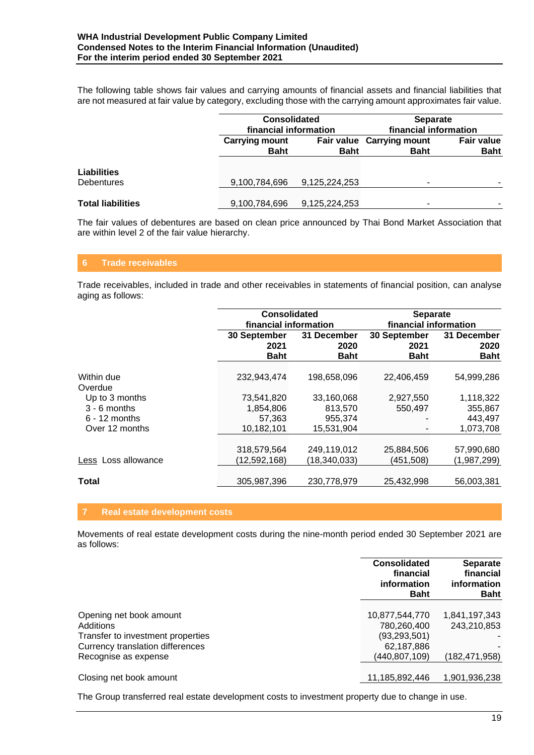The following table shows fair values and carrying amounts of financial assets and financial liabilities that are not measured at fair value by category, excluding those with the carrying amount approximates fair value.

|                                         | <b>Consolidated</b><br>financial information |               | <b>Separate</b><br>financial information        |                                  |  |
|-----------------------------------------|----------------------------------------------|---------------|-------------------------------------------------|----------------------------------|--|
|                                         | <b>Carrying mount</b><br><b>Baht</b>         | <b>Baht</b>   | <b>Fair value Carrying mount</b><br><b>Baht</b> | <b>Fair value</b><br><b>Baht</b> |  |
| <b>Liabilities</b><br><b>Debentures</b> | 9,100,784,696                                | 9,125,224,253 | ۰                                               |                                  |  |
| <b>Total liabilities</b>                | 9,100,784,696                                | 9,125,224,253 | ٠                                               |                                  |  |

The fair values of debentures are based on clean price announced by Thai Bond Market Association that are within level 2 of the fair value hierarchy.

### **6 Trade receivables**

Trade receivables, included in trade and other receivables in statements of financial position, can analyse aging as follows:

|                       | <b>Consolidated</b><br>financial information |                     | <b>Separate</b><br>financial information |                     |  |
|-----------------------|----------------------------------------------|---------------------|------------------------------------------|---------------------|--|
|                       | 30 September<br>2021                         | 31 December<br>2020 | 30 September<br>2021                     | 31 December<br>2020 |  |
|                       | <b>Baht</b>                                  | <b>Baht</b>         | <b>Baht</b>                              | <b>Baht</b>         |  |
| Within due<br>Overdue | 232,943,474                                  | 198,658,096         | 22,406,459                               | 54,999,286          |  |
| Up to 3 months        | 73,541,820                                   | 33,160,068          | 2,927,550                                | 1,118,322           |  |
| $3 - 6$ months        | 1,854,806                                    | 813,570             | 550.497                                  | 355,867             |  |
| $6 - 12$ months       | 57,363                                       | 955.374             |                                          | 443,497             |  |
| Over 12 months        | 10.182.101                                   | 15.531.904          |                                          | 1,073,708           |  |
|                       |                                              |                     |                                          |                     |  |
|                       | 318,579,564                                  | 249,119,012         | 25,884,506                               | 57,990,680          |  |
| Less Loss allowance   | (12, 592, 168)                               | (18, 340, 033)      | (451, 508)                               | (1,987,299)         |  |
|                       |                                              |                     |                                          |                     |  |
| <b>Total</b>          | 305.987.396                                  | 230,778,979         | 25.432.998                               | 56,003,381          |  |

#### **7 Real estate development costs**

Movements of real estate development costs during the nine-month period ended 30 September 2021 are as follows:

|                                                                                                                                       | <b>Consolidated</b><br>financial<br>information<br><b>Baht</b>                 | <b>Separate</b><br>financial<br>information<br><b>Baht</b> |
|---------------------------------------------------------------------------------------------------------------------------------------|--------------------------------------------------------------------------------|------------------------------------------------------------|
| Opening net book amount<br>Additions<br>Transfer to investment properties<br>Currency translation differences<br>Recognise as expense | 10,877,544,770<br>780,260,400<br>(93, 293, 501)<br>62,187,886<br>(440,807,109) | 1,841,197,343<br>243,210,853<br>(182, 471, 958)            |
| Closing net book amount                                                                                                               | 11,185,892,446                                                                 | 1,901,936,238                                              |

The Group transferred real estate development costs to investment property due to change in use.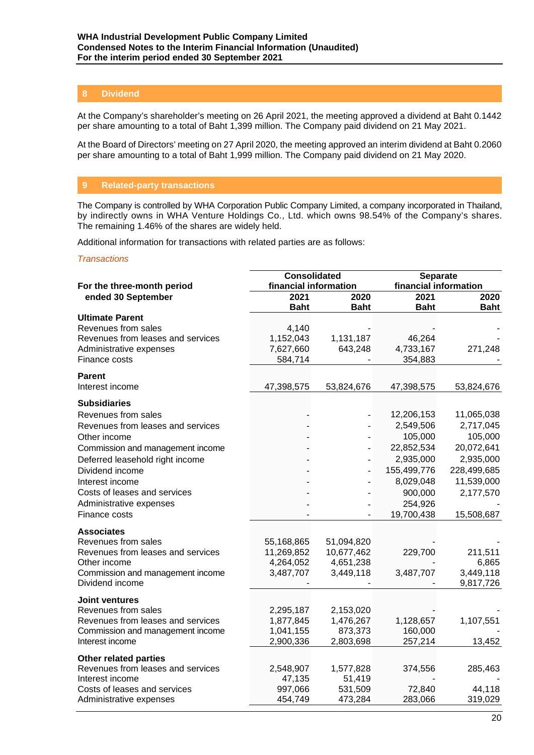### **8 Dividend**

At the Company's shareholder's meeting on 26 April 2021, the meeting approved a dividend at Baht 0.1442 per share amounting to a total of Baht 1,399 million. The Company paid dividend on 21 May 2021.

At the Board of Directors' meeting on 27 April 2020, the meeting approved an interim dividend at Baht 0.2060 per share amounting to a total of Baht 1,999 million. The Company paid dividend on 21 May 2020.

## **9 Related-party transactions**

The Company is controlled by WHA Corporation Public Company Limited, a company incorporated in Thailand, by indirectly owns in WHA Venture Holdings Co., Ltd. which owns 98.54% of the Company's shares. The remaining 1.46% of the shares are widely held.

Additional information for transactions with related parties are as follows:

#### *Transactions*

|                                   | <b>Consolidated</b>   |             | <b>Separate</b>       |             |  |
|-----------------------------------|-----------------------|-------------|-----------------------|-------------|--|
| For the three-month period        | financial information |             | financial information |             |  |
| ended 30 September                | 2021                  | 2020        | 2021                  | 2020        |  |
|                                   | <b>Baht</b>           | <b>Baht</b> | <b>Baht</b>           | <b>Baht</b> |  |
| <b>Ultimate Parent</b>            |                       |             |                       |             |  |
| Revenues from sales               | 4,140                 |             |                       |             |  |
| Revenues from leases and services | 1,152,043             | 1,131,187   | 46,264                |             |  |
| Administrative expenses           | 7,627,660             | 643,248     | 4,733,167             | 271,248     |  |
| Finance costs                     | 584,714               |             | 354,883               |             |  |
| <b>Parent</b>                     |                       |             |                       |             |  |
| Interest income                   | 47,398,575            | 53,824,676  | 47,398,575            | 53,824,676  |  |
| <b>Subsidiaries</b>               |                       |             |                       |             |  |
| Revenues from sales               |                       |             | 12,206,153            | 11,065,038  |  |
| Revenues from leases and services |                       |             | 2,549,506             | 2,717,045   |  |
| Other income                      |                       |             | 105,000               | 105,000     |  |
| Commission and management income  |                       |             | 22,852,534            | 20,072,641  |  |
| Deferred leasehold right income   |                       |             | 2,935,000             | 2,935,000   |  |
| Dividend income                   |                       |             | 155,499,776           | 228,499,685 |  |
| Interest income                   |                       |             | 8,029,048             | 11,539,000  |  |
| Costs of leases and services      |                       |             | 900,000               | 2,177,570   |  |
| Administrative expenses           |                       |             | 254,926               |             |  |
| Finance costs                     |                       |             | 19,700,438            | 15,508,687  |  |
| <b>Associates</b>                 |                       |             |                       |             |  |
| Revenues from sales               | 55,168,865            | 51,094,820  |                       |             |  |
| Revenues from leases and services | 11,269,852            | 10,677,462  | 229,700               | 211,511     |  |
| Other income                      | 4,264,052             | 4,651,238   |                       | 6,865       |  |
| Commission and management income  | 3,487,707             | 3,449,118   | 3,487,707             | 3,449,118   |  |
| Dividend income                   |                       |             |                       | 9,817,726   |  |
| Joint ventures                    |                       |             |                       |             |  |
| Revenues from sales               | 2,295,187             | 2,153,020   |                       |             |  |
| Revenues from leases and services | 1,877,845             | 1,476,267   | 1,128,657             | 1,107,551   |  |
| Commission and management income  | 1,041,155             | 873,373     | 160,000               |             |  |
| Interest income                   | 2,900,336             | 2,803,698   | 257,214               | 13,452      |  |
| <b>Other related parties</b>      |                       |             |                       |             |  |
| Revenues from leases and services | 2,548,907             | 1,577,828   | 374,556               | 285,463     |  |
| Interest income                   | 47,135                | 51,419      |                       |             |  |
| Costs of leases and services      | 997,066               | 531,509     | 72,840                | 44,118      |  |
| Administrative expenses           | 454,749               | 473,284     | 283,066               | 319,029     |  |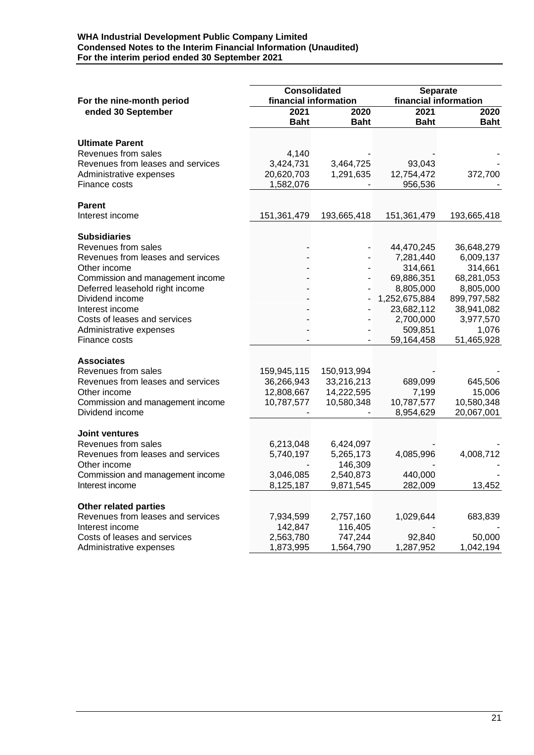|                                                     | <b>Consolidated</b>   |             | <b>Separate</b>       |             |  |
|-----------------------------------------------------|-----------------------|-------------|-----------------------|-------------|--|
| For the nine-month period                           | financial information |             | financial information |             |  |
| ended 30 September                                  | 2021                  | 2020        | 2021                  | 2020        |  |
|                                                     | <b>Baht</b>           | <b>Baht</b> | <b>Baht</b>           | <b>Baht</b> |  |
|                                                     |                       |             |                       |             |  |
| <b>Ultimate Parent</b>                              |                       |             |                       |             |  |
| Revenues from sales                                 | 4,140                 |             |                       |             |  |
| Revenues from leases and services                   | 3,424,731             | 3,464,725   | 93,043                |             |  |
| Administrative expenses                             | 20,620,703            | 1,291,635   | 12,754,472            | 372,700     |  |
| Finance costs                                       | 1,582,076             |             | 956,536               |             |  |
|                                                     |                       |             |                       |             |  |
| <b>Parent</b>                                       |                       |             |                       |             |  |
| Interest income                                     | 151,361,479           | 193,665,418 | 151,361,479           | 193,665,418 |  |
| <b>Subsidiaries</b>                                 |                       |             |                       |             |  |
| Revenues from sales                                 |                       |             | 44,470,245            | 36,648,279  |  |
| Revenues from leases and services                   |                       |             | 7,281,440             | 6,009,137   |  |
| Other income                                        |                       |             | 314,661               | 314,661     |  |
| Commission and management income                    |                       |             | 69,886,351            | 68,281,053  |  |
| Deferred leasehold right income                     |                       |             | 8,805,000             | 8,805,000   |  |
| Dividend income                                     |                       |             | 1,252,675,884         | 899,797,582 |  |
| Interest income                                     |                       |             | 23,682,112            | 38,941,082  |  |
| Costs of leases and services                        |                       |             | 2,700,000             | 3,977,570   |  |
| Administrative expenses                             |                       |             | 509,851               | 1,076       |  |
| Finance costs                                       |                       |             | 59,164,458            | 51,465,928  |  |
|                                                     |                       |             |                       |             |  |
| <b>Associates</b>                                   |                       |             |                       |             |  |
| Revenues from sales                                 | 159,945,115           | 150,913,994 |                       |             |  |
| Revenues from leases and services                   | 36,266,943            | 33,216,213  | 689,099               | 645,506     |  |
| Other income                                        | 12,808,667            | 14,222,595  | 7,199                 | 15,006      |  |
| Commission and management income<br>Dividend income | 10,787,577            | 10,580,348  | 10,787,577            | 10,580,348  |  |
|                                                     |                       |             | 8,954,629             | 20,067,001  |  |
| <b>Joint ventures</b>                               |                       |             |                       |             |  |
| Revenues from sales                                 | 6,213,048             | 6,424,097   |                       |             |  |
| Revenues from leases and services                   | 5,740,197             | 5,265,173   | 4,085,996             | 4,008,712   |  |
| Other income                                        |                       | 146,309     |                       |             |  |
| Commission and management income                    | 3,046,085             | 2,540,873   | 440,000               |             |  |
| Interest income                                     | 8,125,187             | 9,871,545   | 282,009               | 13,452      |  |
| <b>Other related parties</b>                        |                       |             |                       |             |  |
| Revenues from leases and services                   | 7,934,599             | 2,757,160   | 1,029,644             | 683,839     |  |
| Interest income                                     | 142,847               | 116,405     |                       |             |  |
| Costs of leases and services                        | 2,563,780             | 747,244     | 92,840                | 50,000      |  |
| Administrative expenses                             | 1,873,995             | 1,564,790   | 1,287,952             | 1,042,194   |  |
|                                                     |                       |             |                       |             |  |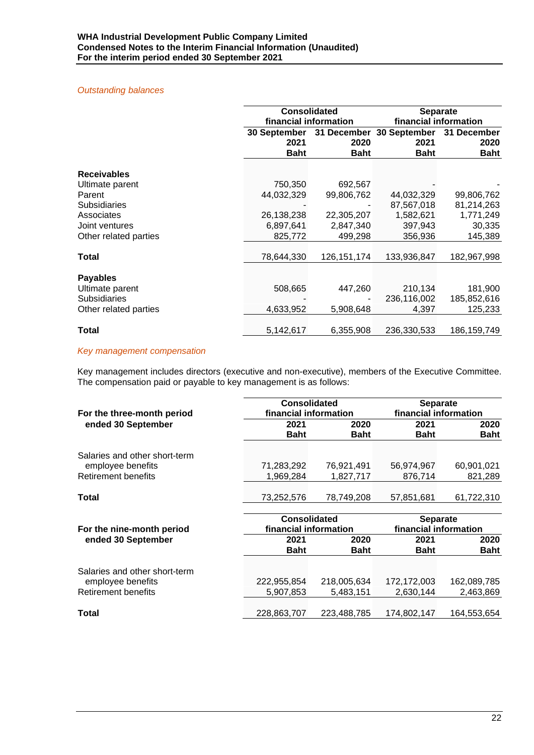### *Outstanding balances*

|                       | <b>Consolidated</b><br>financial information |                             | <b>Separate</b><br>financial information |                     |  |
|-----------------------|----------------------------------------------|-----------------------------|------------------------------------------|---------------------|--|
|                       | 30 September                                 | 30 September<br>31 December |                                          | 31 December         |  |
|                       | 2021<br><b>Baht</b>                          | 2020<br><b>Baht</b>         | 2021<br><b>Baht</b>                      | 2020<br><b>Baht</b> |  |
| <b>Receivables</b>    |                                              |                             |                                          |                     |  |
| Ultimate parent       | 750,350                                      | 692,567                     |                                          |                     |  |
| Parent                | 44,032,329                                   | 99,806,762                  | 44,032,329                               | 99,806,762          |  |
| <b>Subsidiaries</b>   |                                              |                             | 87,567,018                               | 81,214,263          |  |
| Associates            | 26,138,238                                   | 22,305,207                  | 1,582,621                                | 1,771,249           |  |
| Joint ventures        | 6,897,641                                    | 2,847,340                   | 397,943                                  | 30,335              |  |
| Other related parties | 825,772                                      | 499,298                     | 356,936                                  | 145,389             |  |
| Total                 | 78,644,330                                   | 126, 151, 174               | 133,936,847                              | 182,967,998         |  |
|                       |                                              |                             |                                          |                     |  |
| <b>Payables</b>       |                                              |                             |                                          |                     |  |
| Ultimate parent       | 508,665                                      | 447,260                     | 210,134                                  | 181,900             |  |
| <b>Subsidiaries</b>   |                                              |                             | 236,116,002                              | 185,852,616         |  |
| Other related parties | 4,633,952                                    | 5,908,648                   | 4,397                                    | 125,233             |  |
|                       |                                              |                             |                                          |                     |  |
| <b>Total</b>          | 5,142,617                                    | 6,355,908                   | 236,330,533                              | 186,159,749         |  |

# *Key management compensation*

Key management includes directors (executive and non-executive), members of the Executive Committee. The compensation paid or payable to key management is as follows:

| For the three-month period                      | <b>Consolidated</b><br>financial information |                         | <b>Separate</b><br>financial information |                       |
|-------------------------------------------------|----------------------------------------------|-------------------------|------------------------------------------|-----------------------|
| ended 30 September                              | 2021<br><b>Baht</b>                          | 2020<br><b>Baht</b>     | 2021<br>Baht                             | 2020<br><b>Baht</b>   |
| Salaries and other short-term                   |                                              |                         |                                          |                       |
| employee benefits<br><b>Retirement benefits</b> | 71,283,292<br>1,969,284                      | 76,921,491<br>1,827,717 | 56,974,967<br>876,714                    | 60,901,021<br>821,289 |
| Total                                           | 73,252,576                                   | 78,749,208              | 57,851,681                               | 61,722,310            |
|                                                 | <b>Consolidated</b>                          |                         | <b>Separate</b>                          |                       |
| For the nine-month period                       | financial information                        |                         | financial information                    |                       |
| ended 30 September                              | 2021<br><b>Baht</b>                          | 2020<br><b>Baht</b>     | 2021<br>Baht                             | 2020<br><b>Baht</b>   |
| Salaries and other short-term                   |                                              |                         |                                          |                       |
| employee benefits                               | 222,955,854                                  | 218,005,634             | 172,172,003                              | 162,089,785           |
| <b>Retirement benefits</b>                      | 5,907,853                                    | 5,483,151               | 2,630,144                                | 2,463,869             |
| Total                                           | 228,863,707                                  | 223,488,785             | 174,802,147                              | 164,553,654           |